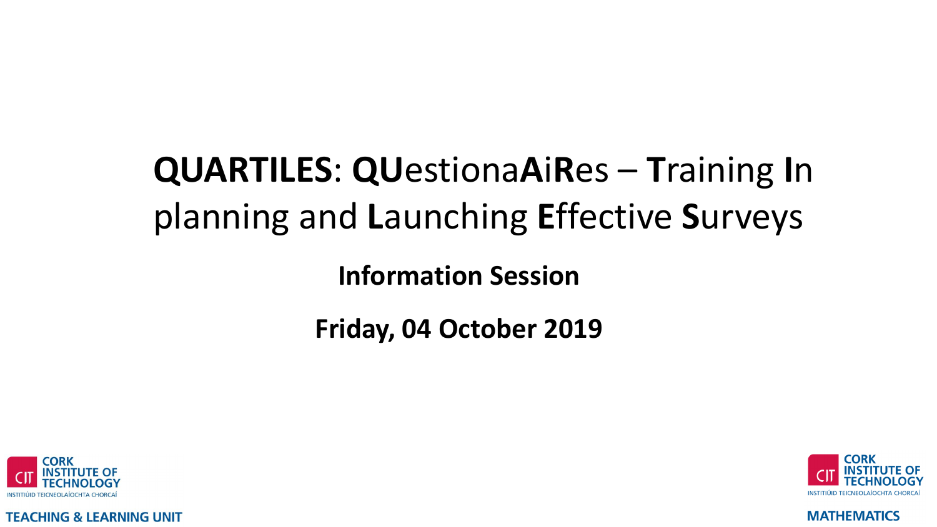# **QUARTILES: QUestionaAiRes - Training In** planning and Launching Effective Surveys

**Information Session** 

Friday, 04 October 2019



**TEACHING & LEARNING UNIT** 

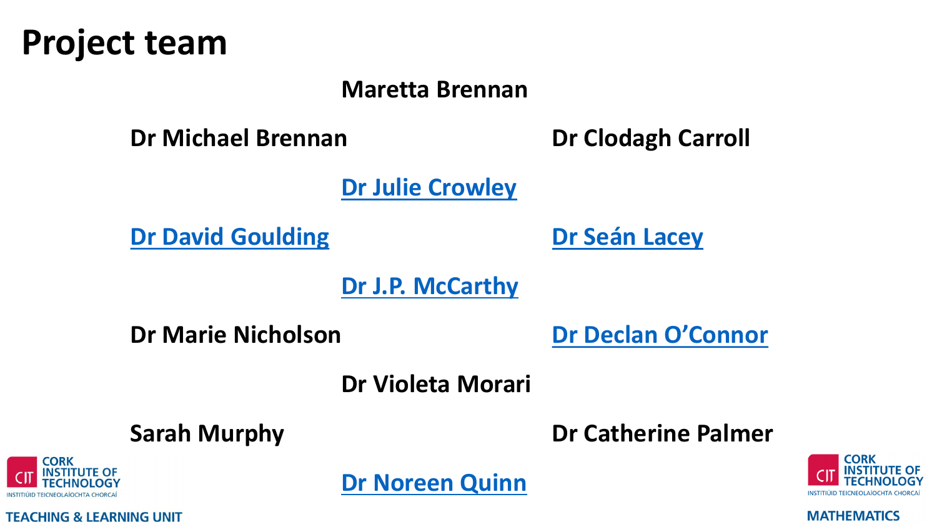

#### **Maretta Brennan**

**Dr Michael Brennan Dr Clodagh Carroll**

**[Dr Julie Crowley](https://mathematics.cit.ie/staff/julie-crowley)**

**[Dr David Goulding](https://mathematics.cit.ie/staff/david-goulding) [Dr Seán Lacey](https://mathematics.cit.ie/staff/sean-lacey)**

**[Dr J.P. McCarthy](https://mathematics.cit.ie/staff/JP-McCarthy)**

**Dr Marie Nicholson [Dr Declan O'Connor](https://mathematics.cit.ie/staff/Declan-OConnor)**

**Dr Violeta Morari**

**Sarah Murphy Dr Catherine Palmer**



**TEACHING & LEARNING UNIT** 

**MATHEMATICS** 

**[Dr Noreen Quinn](https://mathematics.cit.ie/staff/noreen-quinn-profile)**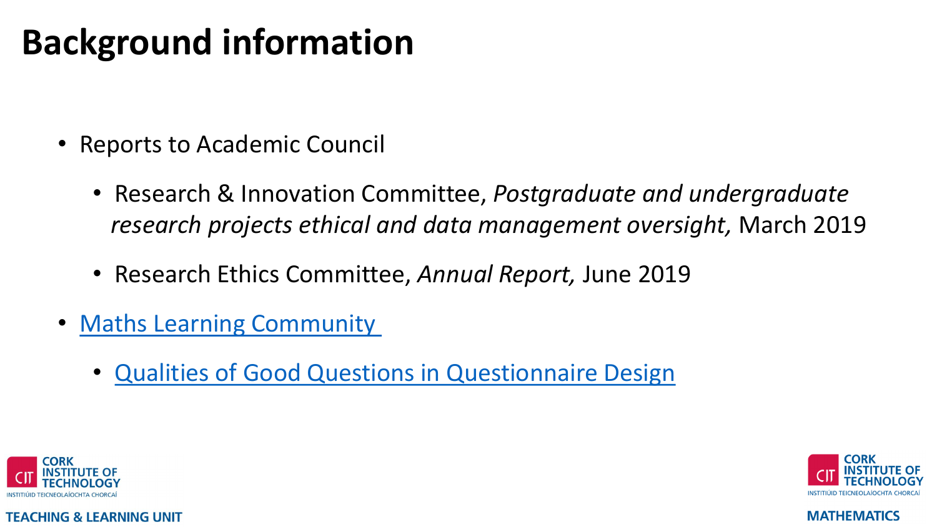# **Background information**

- Reports to Academic Council
	- Research & Innovation Committee, *Postgraduate and undergraduate research projects ethical and data management oversight,* March 2019
	- Research Ethics Committee, *Annual Report,* June 2019
- [Maths Learning Community](https://mathematics.cit.ie/contentfiles/Sean/EYFE2019%20Poster.pdf) 
	- [Qualities of Good Questions in Questionnaire Design](https://mathematics.cit.ie/quartiles)



**TEACHING & LEARNING UNIT** 

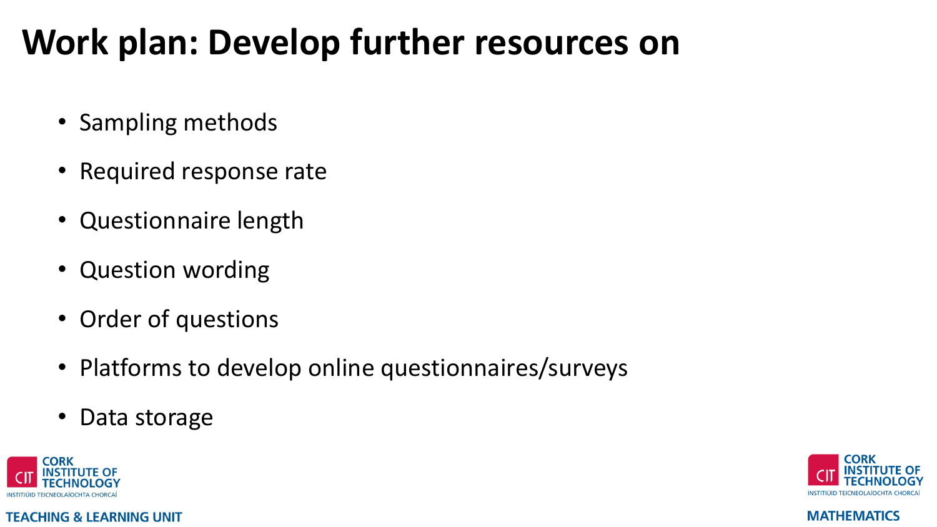# **Work plan: Develop further resources on**

- Sampling methods
- Required response rate
- Questionnaire length
- Question wording
- Order of questions
- Platforms to develop online questionnaires/surveys
- Data storage



**TEACHING & LEARNING UNIT** 

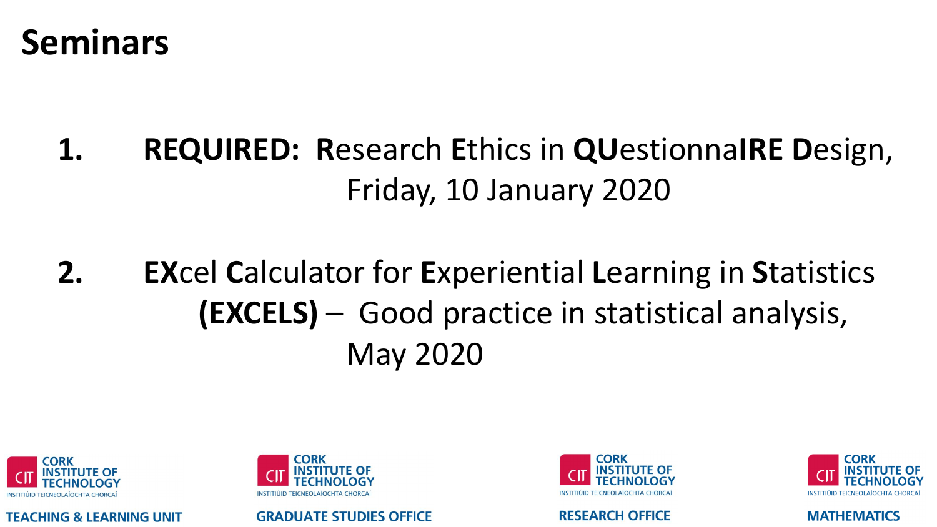## **Seminars**

### **REQUIRED: Research Ethics in QUestionnaIRE Design,** 1. Friday, 10 January 2020

### $2.$ **EXcel Calculator for Experiential Learning in Statistics (EXCELS)** – Good practice in statistical analysis, **May 2020**



**TEACHING & LEARNING UNIT** 



**GRADUATE STUDIES OFFICE** 



**RESEARCH OFFICE** 

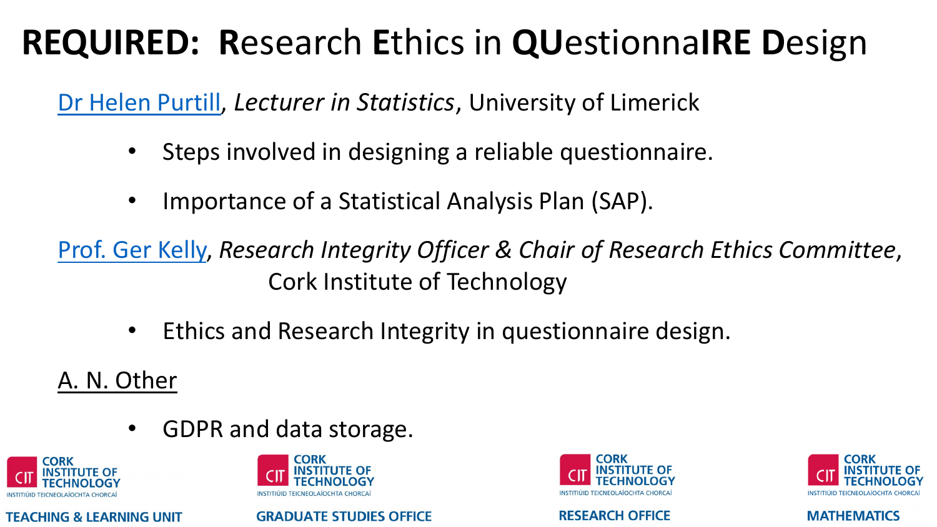# **REQUIRED: R**esearch **E**thics in **QU**estionna**IRE D**esign

[Dr Helen Purtill](https://ulsites.ul.ie/macsi/helen-purtill-profile), *Lecturer in Statistics*, University of Limerick

- Steps involved in designing a reliable questionnaire.
- Importance of a Statistical Analysis Plan (SAP).

[Prof. Ger Kelly,](https://ie.linkedin.com/in/gerard-kelly-3115a282) *Research Integrity Officer & Chair of Research Ethics Committee*, Cork Institute of Technology

• Ethics and Research Integrity in questionnaire design.

A. N. Other

• GDPR and data storage.



**TEACHING & LEARNING UNIT** 



**GRADUATE STUDIES OFFICE** 



**RESEARCH OFFICE** 

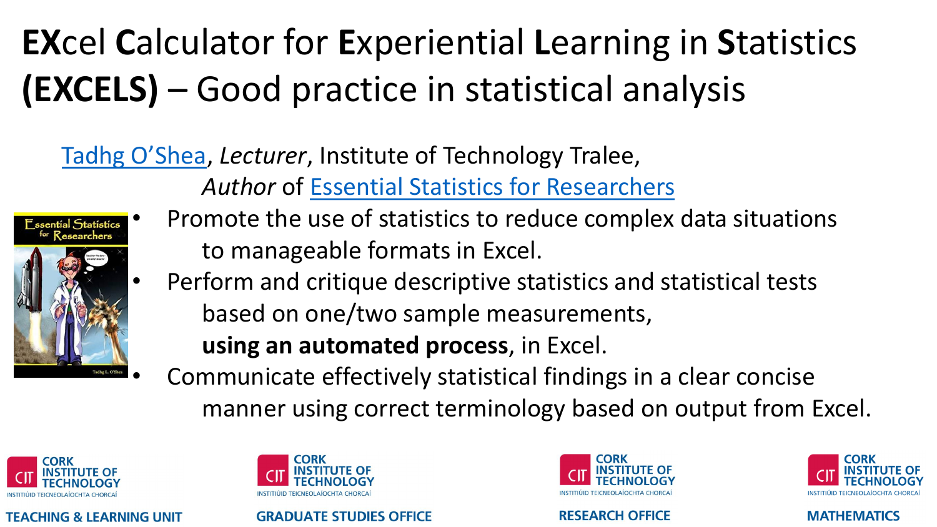# **EX**cel **C**alculator for **E**xperiential **L**earning in **S**tatistics **(EXCELS)** – Good practice in statistical analysis

## [Tadhg O'Shea](https://ie.linkedin.com/in/tadhg-o-shea-6070382b), *Lecturer*, Institute of Technology Tralee,

*Author* of [Essential Statistics for Researchers](https://www.waterstones.com/book/essential-statistics-for-researchers/tadhg-l-oshea/9780957505902)





- Promote the use of statistics to reduce complex data situations to manageable formats in Excel.
- Perform and critique descriptive statistics and statistical tests based on one/two sample measurements, **using an automated process**, in Excel.
- Communicate effectively statistical findings in a clear concise manner using correct terminology based on output from Excel.



#### **TEACHING & LEARNING UNIT**



#### **GRADUATE STUDIES OFFICE**



**RESEARCH OFFICE** 

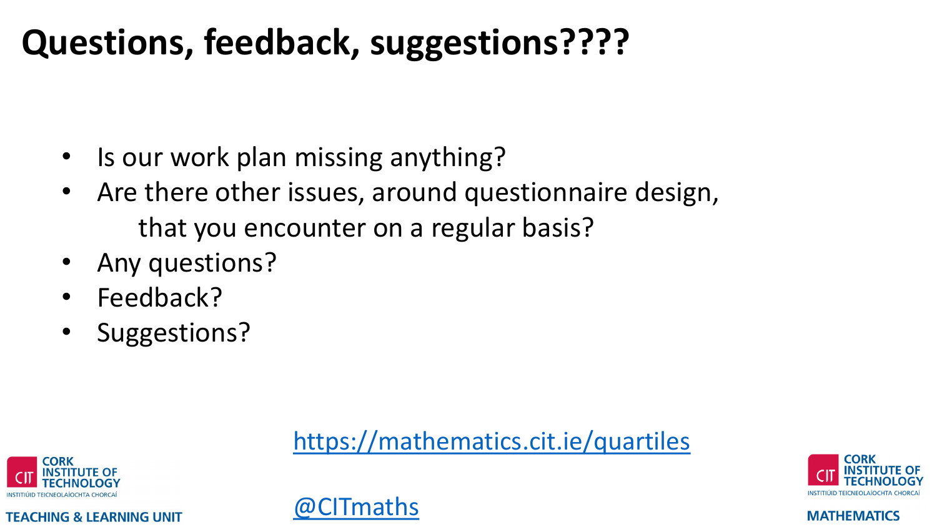# **Questions, feedback, suggestions????**

- Is our work plan missing anything?
- Are there other issues, around questionnaire design, that you encounter on a regular basis?
- Any questions?
- Feedback?
- Suggestions?

## <https://mathematics.cit.ie/quartiles>





**TEACHING & LEARNING UNIT**